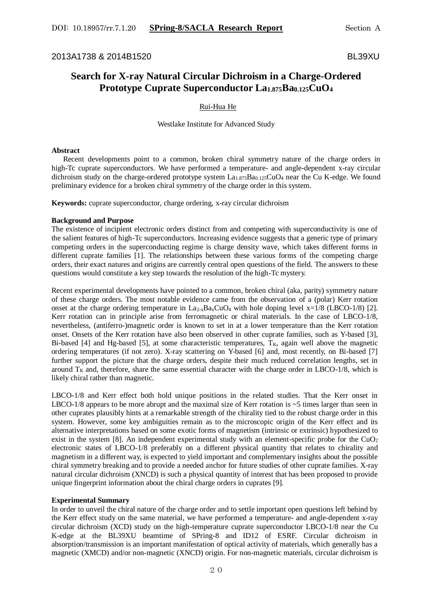2013A1738 & 2014B1520 BL39XU

# **Search for X-ray Natural Circular Dichroism in a Charge-Ordered Prototype Cuprate Superconductor La1.875Ba0.125CuO<sup>4</sup>**

# Rui-Hua He

Westlake Institute for Advanced Study

## **Abstract**

 Recent developments point to a common, broken chiral symmetry nature of the charge orders in high-Tc cuprate superconductors. We have performed a temperature- and angle-dependent x-ray circular dichroism study on the charge-ordered prototype system  $La_{1.875}Ba_{0.125}CuO_4$  near the Cu K-edge. We found preliminary evidence for a broken chiral symmetry of the charge order in this system.

**Keywords:** cuprate superconductor, charge ordering, x-ray circular dichroism

#### **Background and Purpose**

The existence of incipient electronic orders distinct from and competing with superconductivity is one of the salient features of high-Tc superconductors. Increasing evidence suggests that a generic type of primary competing orders in the superconducting regime is charge density wave, which takes different forms in different cuprate families [1]. The relationships between these various forms of the competing charge orders, their exact natures and origins are currently central open questions of the field. The answers to these questions would constitute a key step towards the resolution of the high-Tc mystery.

Recent experimental developments have pointed to a common, broken chiral (aka, parity) symmetry nature of these charge orders. The most notable evidence came from the observation of a (polar) Kerr rotation onset at the charge ordering temperature in  $La_{2-x}Ba_xCuO_4$  with hole doping level x=1/8 (LBCO-1/8) [2]. Kerr rotation can in principle arise from ferromagnetic or chiral materials. In the case of LBCO-1/8, nevertheless, (antiferro-)magnetic order is known to set in at a lower temperature than the Kerr rotation onset. Onsets of the Kerr rotation have also been observed in other cuprate families, such as Y-based [3], Bi-based [4] and Hg-based [5], at some characteristic temperatures,  $T_K$ , again well above the magnetic ordering temperatures (if not zero). X-ray scattering on Y-based [6] and, most recently, on Bi-based [7] further support the picture that the charge orders, despite their much reduced correlation lengths, set in around  $T<sub>K</sub>$  and, therefore, share the same essential character with the charge order in LBCO-1/8, which is likely chiral rather than magnetic.

LBCO-1/8 and Kerr effect both hold unique positions in the related studies. That the Kerr onset in LBCO-1/8 appears to be more abrupt and the maximal size of Kerr rotation is  $\sim$  5 times larger than seen in other cuprates plausibly hints at a remarkable strength of the chirality tied to the robust charge order in this system. However, some key ambiguities remain as to the microscopic origin of the Kerr effect and its alternative interpretations based on some exotic forms of magnetism (intrinsic or extrinsic) hypothesized to exist in the system  $[8]$ . An independent experimental study with an element-specific probe for the  $CuO<sub>2</sub>$ electronic states of LBCO-1/8 preferably on a different physical quantity that relates to chirality and magnetism in a different way, is expected to yield important and complementary insights about the possible chiral symmetry breaking and to provide a needed anchor for future studies of other cuprate families. X-ray natural circular dichroism (XNCD) is such a physical quantity of interest that has been proposed to provide unique fingerprint information about the chiral charge orders in cuprates [9].

### **Experimental Summary**

In order to unveil the chiral nature of the charge order and to settle important open questions left behind by the Kerr effect study on the same material, we have performed a temperature- and angle-dependent x-ray circular dichroism (XCD) study on the high-temperature cuprate superconductor LBCO-1/8 near the Cu K-edge at the BL39XU beamtime of SPring-8 and ID12 of ESRF. Circular dichroism in absorption/transmission is an important manifestation of optical activity of materials, which generally has a magnetic (XMCD) and/or non-magnetic (XNCD) origin. For non-magnetic materials, circular dichroism is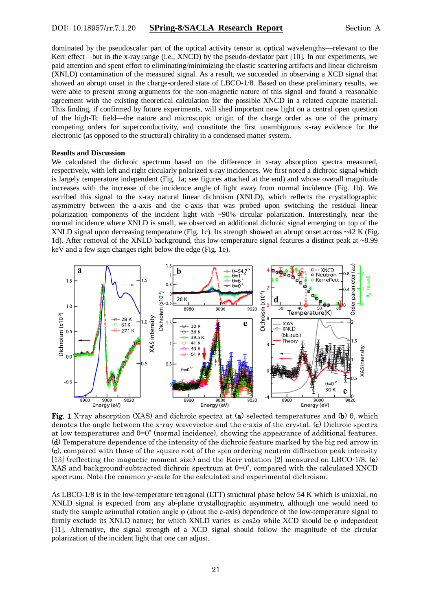### DOI: 10.18957/rr.7.1.20 **SPring-8/SACLA Research Report** Section A

dominated by the pseudoscalar part of the optical activity tensor at optical wavelengths—relevant to the Kerr effect—but in the x-ray range (i.e., XNCD) by the pseudo-deviator part [10]. In our experiments, we paid attention and spent effort to eliminating/minimizing the elastic scattering artifacts and linear dichroism (XNLD) contamination of the measured signal. As a result, we succeeded in observing a XCD signal that showed an abrupt onset in the charge-ordered state of LBCO-1/8. Based on these preliminary results, we were able to present strong arguments for the non-magnetic nature of this signal and found a reasonable agreement with the existing theoretical calculation for the possible XNCD in a related cuprate material. This finding, if confirmed by future experiments, will shed important new light on a central open question of the high-Tc field—the nature and microscopic origin of the charge order as one of the primary competing orders for superconductivity, and constitute the first unambiguous x-ray evidence for the electronic (as opposed to the structural) chirality in a condensed matter system.

#### **Results and Discussion**

We calculated the dichroic spectrum based on the difference in x-ray absorption spectra measured, respectively, with left and right circularly polarized x-ray incidences. We first noted a dichroic signal which is largely temperature independent (Fig. 1a; see figures attached at the end) and whose overall magnitude increases with the increase of the incidence angle of light away from normal incidence (Fig. 1b). We ascribed this signal to the x-ray natural linear dichroism (XNLD), which reflects the crystallographic asymmetry between the a-axis and the c-axis that was probed upon switching the residual linear polarization components of the incident light with ~90% circular polarization. Interestingly, near the normal incidence where XNLD is small, we observed an additional dichroic signal emerging on top of the XNLD signal upon decreasing temperature (Fig. 1c). Its strength showed an abrupt onset across  $\sim$  42 K (Fig. 1d). After removal of the XNLD background, this low-temperature signal features a distinct peak at ~8.99 keV and a few sign changes right below the edge (Fig. 1e).



Fig. 1 X-ray absorption (XAS) and dichroic spectra at (a) selected temperatures and (b) θ, which denotes the angle between the x-ray wavevector and the c-axis of the crystal. (c) Dichroic spectra at low temperatures and  $\theta=0^{\circ}$  (normal incidence), showing the appearance of additional features. (d) Temperature dependence of the intensity of the dichroic feature marked by the big red arrow in (c), compared with those of the square root of the spin ordering neutron diffraction peak intensity [13] (reflecting the magnetic moment size) and the Kerr rotation [2] measured on LBCO-1/8. (e) XAS and background-subtracted dichroic spectrum at  $\theta=0^{\circ}$ , compared with the calculated XNCD spectrum. Note the common y-scale for the calculated and experimental dichroism.

As LBCO-1/8 is in the low-temperature tetragonal (LTT) structural phase below 54 K which is uniaxial, no XNLD signal is expected from any ab-plane crystallographic asymmetry, although one would need to study the sample azimuthal rotation angle φ (about the c-axis) dependence of the low-temperature signal to firmly exclude its XNLD nature; for which XNLD varies as cos2φ while XCD should be φ independent [11]. Alternative, the signal strength of a XCD signal should follow the magnitude of the circular polarization of the incident light that one can adjust.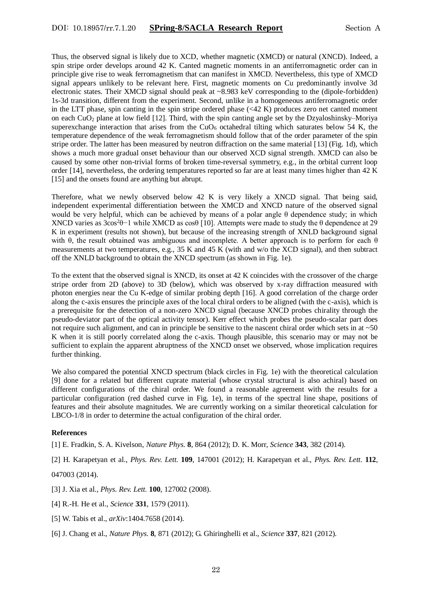Thus, the observed signal is likely due to XCD, whether magnetic (XMCD) or natural (XNCD). Indeed, a spin stripe order develops around 42 K. Canted magnetic moments in an antiferromagnetic order can in principle give rise to weak ferromagnetism that can manifest in XMCD. Nevertheless, this type of XMCD signal appears unlikely to be relevant here. First, magnetic moments on Cu predominantly involve 3d electronic states. Their XMCD signal should peak at ~8.983 keV corresponding to the (dipole-forbidden) 1s-3d transition, different from the experiment. Second, unlike in a homogeneous antiferromagnetic order in the LTT phase, spin canting in the spin stripe ordered phase  $( $42 \text{ K}$ )$  produces zero net canted moment on each  $CuO<sub>2</sub>$  plane at low field [12]. Third, with the spin canting angle set by the Dzyaloshinsky–Moriya superexchange interaction that arises from the  $CuO<sub>6</sub>$  octahedral tilting which saturates below 54 K, the temperature dependence of the weak ferromagnetism should follow that of the order parameter of the spin stripe order. The latter has been measured by neutron diffraction on the same material [13] (Fig. 1d), which shows a much more gradual onset behaviour than our observed XCD signal strength. XMCD can also be caused by some other non-trivial forms of broken time-reversal symmetry, e.g., in the orbital current loop order [14], nevertheless, the ordering temperatures reported so far are at least many times higher than 42 K [15] and the onsets found are anything but abrupt.

Therefore, what we newly observed below 42 K is very likely a XNCD signal. That being said, independent experimental differentiation between the XMCD and XNCD nature of the observed signal would be very helpful, which can be achieved by means of a polar angle  $\theta$  dependence study; in which XNCD varies as  $3\cos^2\theta - 1$  while XMCD as  $\cos\theta$  [10]. Attempts were made to study the  $\theta$  dependence at 29 K in experiment (results not shown), but because of the increasing strength of XNLD background signal with θ, the result obtained was ambiguous and incomplete. A better approach is to perform for each θ measurements at two temperatures, e.g., 35 K and 45 K (with and w/o the XCD signal), and then subtract off the XNLD background to obtain the XNCD spectrum (as shown in Fig. 1e).

To the extent that the observed signal is XNCD, its onset at 42 K coincides with the crossover of the charge stripe order from 2D (above) to 3D (below), which was observed by x-ray diffraction measured with photon energies near the Cu K-edge of similar probing depth [16]. A good correlation of the charge order along the c-axis ensures the principle axes of the local chiral orders to be aligned (with the c-axis), which is a prerequisite for the detection of a non-zero XNCD signal (because XNCD probes chirality through the pseudo-deviator part of the optical activity tensor). Kerr effect which probes the pseudo-scalar part does not require such alignment, and can in principle be sensitive to the nascent chiral order which sets in at  $\sim$ 50 K when it is still poorly correlated along the c-axis. Though plausible, this scenario may or may not be sufficient to explain the apparent abruptness of the XNCD onset we observed, whose implication requires further thinking.

We also compared the potential XNCD spectrum (black circles in Fig. 1e) with the theoretical calculation [9] done for a related but different cuprate material (whose crystal structural is also achiral) based on different configurations of the chiral order. We found a reasonable agreement with the results for a particular configuration (red dashed curve in Fig. 1e), in terms of the spectral line shape, positions of features and their absolute magnitudes. We are currently working on a similar theoretical calculation for LBCO-1/8 in order to determine the actual configuration of the chiral order.

### **References**

[1] E. Fradkin, S. A. Kivelson, *Nature Phys.* **8**, 864 (2012); D. K. Morr, *Science* **343**, 382 (2014).

[2] H. Karapetyan et al., *Phys. Rev. Lett.* **109**, 147001 (2012); H. Karapetyan et al., *Phys. Rev. Lett.* **112**,

#### 047003 (2014).

- [3] J. Xia et al., *Phys. Rev. Lett.* **100**, 127002 (2008).
- [4] R.-H. He et al., *Science* **331**, 1579 (2011).
- [5] W. Tabis et al., *arXiv*:1404.7658 (2014).
- [6] J. Chang et al., *Nature Phys.* **8**, 871 (2012); G. Ghiringhelli et al., *Science* **337**, 821 (2012).